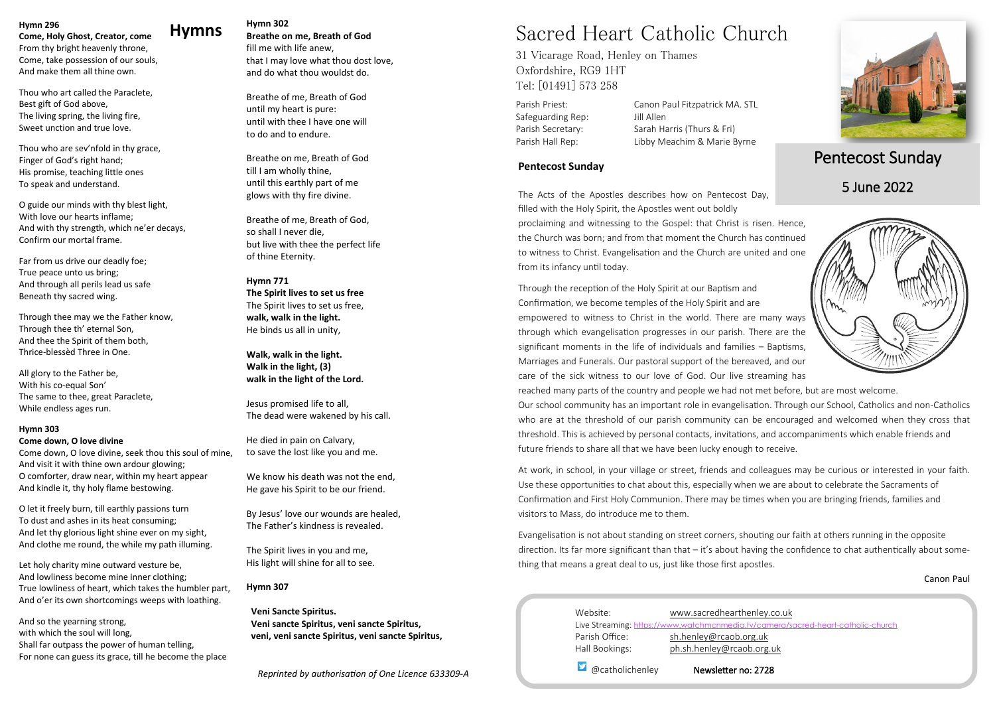### **Hymns Hymn 302**

**Breathe on me, Breath of God** fill me with life anew, that I may love what thou dost love, and do what thou wouldst do.

Breathe of me, Breath of God until my heart is pure: until with thee I have one will to do and to endure.

Breathe on me, Breath of God till I am wholly thine, until this earthly part of me glows with thy fire divine.

Breathe of me, Breath of God, so shall I never die, but live with thee the perfect life of thine Eternity.

**Hymn 771 The Spirit lives to set us free** The Spirit lives to set us free, **walk, walk in the light.** He binds us all in unity,

**Walk, walk in the light. Walk in the light, (3) walk in the light of the Lord.**

Jesus promised life to all, The dead were wakened by his call.

He died in pain on Calvary, to save the lost like you and me.

We know his death was not the end, He gave his Spirit to be our friend.

By Jesus' love our wounds are healed, The Father's kindness is revealed.

The Spirit lives in you and me, His light will shine for all to see.

#### **Hymn 307**

 **Veni Sancte Spiritus. Veni sancte Spiritus, veni sancte Spiritus, veni, veni sancte Spiritus, veni sancte Spiritus,** 

*Reprinted by authorisation of One Licence 633309-A*

#### **Hymn 296**

**Come, Holy Ghost, Creator, come** From thy bright heavenly throne, Come, take possession of our souls, And make them all thine own.

Thou who art called the Paraclete, Best gift of God above, The living spring, the living fire, Sweet unction and true love.

Thou who are sev'nfold in thy grace, Finger of God's right hand; His promise, teaching little ones To speak and understand.

O guide our minds with thy blest light, With love our hearts inflame; And with thy strength, which ne'er decays, Confirm our mortal frame.

| Website:        | www.sacredhearthenley.c                           |
|-----------------|---------------------------------------------------|
|                 | Live Streaming: https://www.watchmcnmedia.tv/came |
| Parish Office:  | sh.henley@rcaob.org.uk                            |
| Hall Bookings:  | ph.sh.henley@rcaob.org.u                          |
| @catholichenley | Newsletter no: 2728                               |



Far from us drive our deadly foe; True peace unto us bring; And through all perils lead us safe Beneath thy sacred wing.

Through thee may we the Father know, Through thee th' eternal Son, And thee the Spirit of them both, Thrice-blessèd Three in One.

All glory to the Father be, With his co-equal Son' The same to thee, great Paraclete, While endless ages run.

#### **Hymn 303**

#### **Come down, O love divine**

Come down, O love divine, seek thou this soul of mine, And visit it with thine own ardour glowing; O comforter, draw near, within my heart appear And kindle it, thy holy flame bestowing.

O let it freely burn, till earthly passions turn To dust and ashes in its heat consuming; And let thy glorious light shine ever on my sight, And clothe me round, the while my path illuming.

Let holy charity mine outward vesture be, And lowliness become mine inner clothing; True lowliness of heart, which takes the humbler part, And o'er its own shortcomings weeps with loathing.

And so the yearning strong, with which the soul will long, Shall far outpass the power of human telling, For none can guess its grace, till he become the place

# Sacred Heart Catholic Church

31 Vicarage Road, Henley on Thames Oxfordshire, RG9 1HT Tel: [01491] 573 258

Safeguarding Rep: Jill Allen

Parish Priest: Canon Paul Fitzpatrick MA. STL Parish Secretary: Sarah Harris (Thurs & Fri) Parish Hall Rep: Libby Meachim & Marie Byrne

# Pentecost Sunday

### 5 June 2022

### **Pentecost Sunday**

The Acts of the Apostles describes how on Pentecost Day, filled with the Holy Spirit, the Apostles went out boldly proclaiming and witnessing to the Gospel: that Christ is risen. Hence, the Church was born; and from that moment the Church has continued to witness to Christ. Evangelisation and the Church are united and one from its infancy until today.

Through the reception of the Holy Spirit at our Baptism and Confirmation, we become temples of the Holy Spirit and are empowered to witness to Christ in the world. There are many ways through which evangelisation progresses in our parish. There are the significant moments in the life of individuals and families – Baptisms, Marriages and Funerals. Our pastoral support of the bereaved, and our care of the sick witness to our love of God. Our live streaming has reached many parts of the country and people we had not met before, but are most welcome. Our school community has an important role in evangelisation. Through our School, Catholics and non-Catholics who are at the threshold of our parish community can be encouraged and welcomed when they cross that threshold. This is achieved by personal contacts, invitations, and accompaniments which enable friends and future friends to share all that we have been lucky enough to receive.

At work, in school, in your village or street, friends and colleagues may be curious or interested in your faith. Use these opportunities to chat about this, especially when we are about to celebrate the Sacraments of Confirmation and First Holy Communion. There may be times when you are bringing friends, families and visitors to Mass, do introduce me to them.

Evangelisation is not about standing on street corners, shouting our faith at others running in the opposite direction. Its far more significant than that – it's about having the confidence to chat authentically about something that means a great deal to us, just like those first apostles.

Canon Paul

### ley.co.uk

camera/sacred-heart-catholic-church org.uk